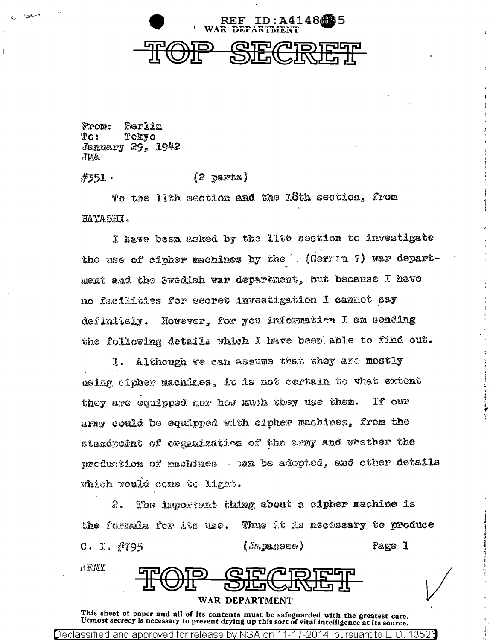

Berlin **From:**  $T$ o: TOKVO **Jenuary 29, 1942 JMA** 

ARMY

محيود

 $(2 \text{ parts})$  $#351.$ 

To the lith section and the 18th section, from HAYASHI.

I have been asked by the lith section to investigate the use of cipher machines by the (Gerrans) war department and the Swedish war department, but because I have no facilities for secret investigation I cannot say definitely. However, for you information I am sending the following details which I have been able to find out.

Although we can assume that they are mostly  $\mathbf{I}$ . using cipher machines. it is not certain to what extent they are equipped nor how much they use them.  $\mathbf{I} \mathbf{f}$  our army could be equipped with cipher machines, from the standpoint of organization of the army and whether the production of machines . tan be adopted, and other details which would come to lignt.

The important thing about a cipher machine is  $2$  . the formula for its use. Thus it is necessary to produce  $C. 1. 4795$  $(\mathfrak{Im} \mathbf{p} \mathbf{a} \mathbf{n} \mathbf{e} \mathbf{s} e)$ Page 1



This sheet of paper and all of its contents must be safeguarded with the greatest care. Utmost secrecy is necessary to prevent drying up this sort of vital intelligence at its source.

13526

Declassified and approved for release by NSA on 11-17-2014 pursuant to E.O.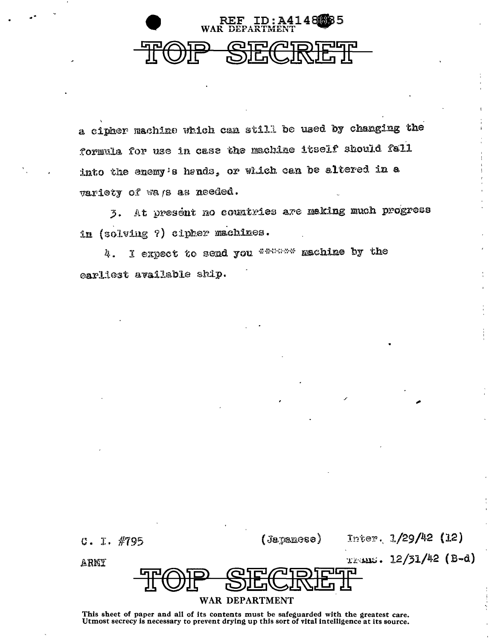

a cither machine which can still be used by changing the formula for use in case the machine itself should fall into the enemy's hands, or which can be altered in a variety of wars as needed.

3. At present no countries are making much progress in (solving ?) cipher machines.

I expect to send you \*\*\*\*\*\*\* machine by the 4. earliest available ship.

| C. I. #795     |                | (square)               |  | Inter. $1/29/42$ (12)       |  |
|----------------|----------------|------------------------|--|-----------------------------|--|
| ARMY           |                |                        |  | $x_2$ ans. $12/31/42$ (B-d) |  |
|                |                | <b>THAID QITADITTI</b> |  |                             |  |
|                | <b>JL WJLL</b> |                        |  |                             |  |
| WAR DEPARTMENT |                |                        |  |                             |  |

This sheet of paper and all of its contents must be safeguarded with the greatest care. Utmost secrecy is necessary to prevent drying up this sort of vital intelligence at its source.